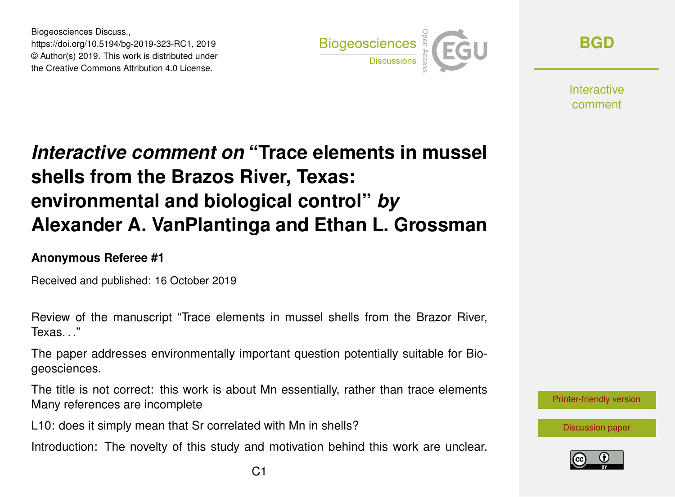Biogeosciences Discuss., https://doi.org/10.5194/bg-2019-323-RC1, 2019 © Author(s) 2019. This work is distributed under the Creative Commons Attribution 4.0 License.



**[BGD](https://www.biogeosciences-discuss.net/)**

**Interactive** comment

## *Interactive comment on* **"Trace elements in mussel shells from the Brazos River, Texas: environmental and biological control"** *by* **Alexander A. VanPlantinga and Ethan L. Grossman**

## **Anonymous Referee #1**

Received and published: 16 October 2019

Review of the manuscript "Trace elements in mussel shells from the Brazor River, Texas. "

The paper addresses environmentally important question potentially suitable for Biogeosciences.

The title is not correct: this work is about Mn essentially, rather than trace elements Many references are incomplete

L10: does it simply mean that Sr correlated with Mn in shells?

Introduction: The novelty of this study and motivation behind this work are unclear.



[Discussion paper](https://www.biogeosciences-discuss.net/bg-2019-323)

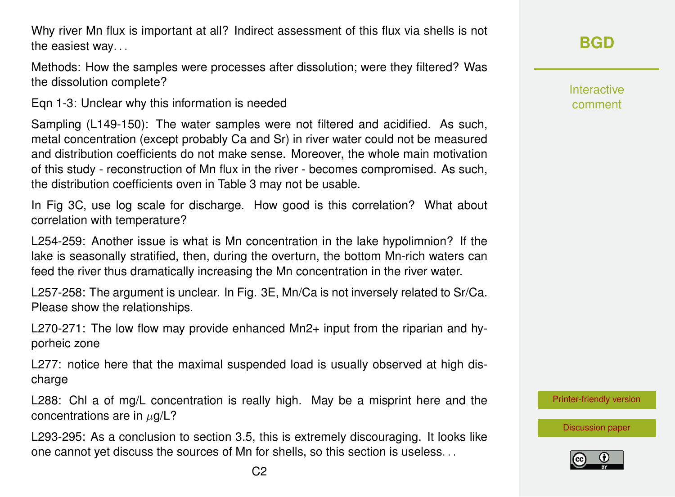Why river Mn flux is important at all? Indirect assessment of this flux via shells is not the easiest way. . .

Methods: How the samples were processes after dissolution; were they filtered? Was the dissolution complete?

Eqn 1-3: Unclear why this information is needed

Sampling (L149-150): The water samples were not filtered and acidified. As such, metal concentration (except probably Ca and Sr) in river water could not be measured and distribution coefficients do not make sense. Moreover, the whole main motivation of this study - reconstruction of Mn flux in the river - becomes compromised. As such, the distribution coefficients oven in Table 3 may not be usable.

In Fig 3C, use log scale for discharge. How good is this correlation? What about correlation with temperature?

L254-259: Another issue is what is Mn concentration in the lake hypolimnion? If the lake is seasonally stratified, then, during the overturn, the bottom Mn-rich waters can feed the river thus dramatically increasing the Mn concentration in the river water.

L257-258: The argument is unclear. In Fig. 3E, Mn/Ca is not inversely related to Sr/Ca. Please show the relationships.

L270-271: The low flow may provide enhanced Mn2+ input from the riparian and hyporheic zone

L277: notice here that the maximal suspended load is usually observed at high discharge

L288: Chl a of mg/L concentration is really high. May be a misprint here and the concentrations are in  $\mu$ g/L?

L293-295: As a conclusion to section 3.5, this is extremely discouraging. It looks like one cannot yet discuss the sources of Mn for shells, so this section is useless. . .

Interactive comment

[Printer-friendly version](https://www.biogeosciences-discuss.net/bg-2019-323/bg-2019-323-RC1-print.pdf)

[Discussion paper](https://www.biogeosciences-discuss.net/bg-2019-323)